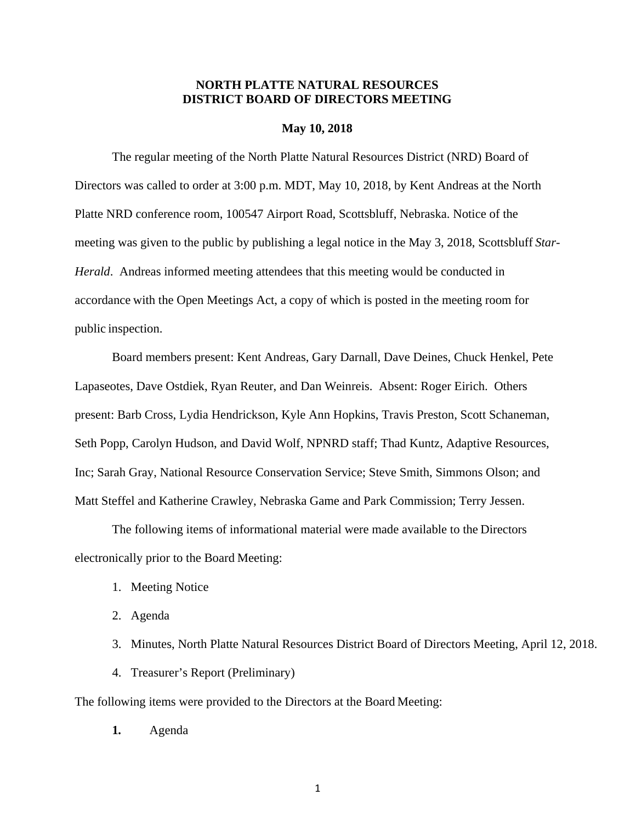# **NORTH PLATTE NATURAL RESOURCES DISTRICT BOARD OF DIRECTORS MEETING**

# **May 10, 2018**

The regular meeting of the North Platte Natural Resources District (NRD) Board of Directors was called to order at 3:00 p.m. MDT, May 10, 2018, by Kent Andreas at the North Platte NRD conference room, 100547 Airport Road, Scottsbluff, Nebraska. Notice of the meeting was given to the public by publishing a legal notice in the May 3, 2018, Scottsbluff *Star-Herald*. Andreas informed meeting attendees that this meeting would be conducted in accordance with the Open Meetings Act, a copy of which is posted in the meeting room for public inspection.

Board members present: Kent Andreas, Gary Darnall, Dave Deines, Chuck Henkel, Pete Lapaseotes, Dave Ostdiek, Ryan Reuter, and Dan Weinreis. Absent: Roger Eirich. Others present: Barb Cross, Lydia Hendrickson, Kyle Ann Hopkins, Travis Preston, Scott Schaneman, Seth Popp, Carolyn Hudson, and David Wolf, NPNRD staff; Thad Kuntz, Adaptive Resources, Inc; Sarah Gray, National Resource Conservation Service; Steve Smith, Simmons Olson; and Matt Steffel and Katherine Crawley, Nebraska Game and Park Commission; Terry Jessen.

The following items of informational material were made available to the Directors electronically prior to the Board Meeting:

- 1. Meeting Notice
- 2. Agenda
- 3. Minutes, North Platte Natural Resources District Board of Directors Meeting, April 12, 2018.
- 4. Treasurer's Report (Preliminary)

The following items were provided to the Directors at the Board Meeting:

**1.** Agenda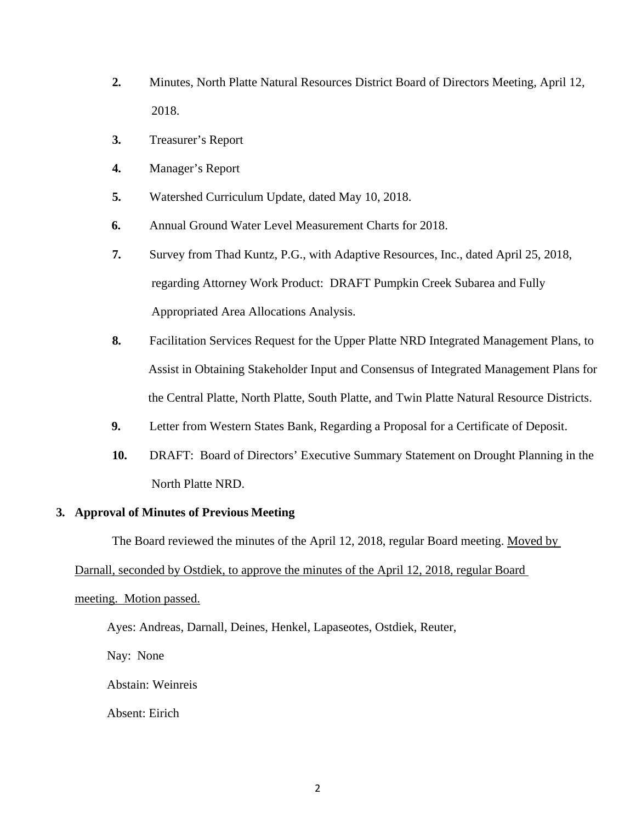- **2.** Minutes, North Platte Natural Resources District Board of Directors Meeting, April 12, 2018.
- **3.** Treasurer's Report
- **4.** Manager's Report
- **5.** Watershed Curriculum Update, dated May 10, 2018.
- **6.** Annual Ground Water Level Measurement Charts for 2018.
- **7.** Survey from Thad Kuntz, P.G., with Adaptive Resources, Inc., dated April 25, 2018, regarding Attorney Work Product: DRAFT Pumpkin Creek Subarea and Fully Appropriated Area Allocations Analysis.
- **8.** Facilitation Services Request for the Upper Platte NRD Integrated Management Plans, to Assist in Obtaining Stakeholder Input and Consensus of Integrated Management Plans for the Central Platte, North Platte, South Platte, and Twin Platte Natural Resource Districts.
- **9.** Letter from Western States Bank, Regarding a Proposal for a Certificate of Deposit.
- **10.** DRAFT: Board of Directors' Executive Summary Statement on Drought Planning in the North Platte NRD.

# **3. Approval of Minutes of Previous Meeting**

The Board reviewed the minutes of the April 12, 2018, regular Board meeting. Moved by

# Darnall, seconded by Ostdiek, to approve the minutes of the April 12, 2018, regular Board

### meeting. Motion passed.

Ayes: Andreas, Darnall, Deines, Henkel, Lapaseotes, Ostdiek, Reuter,

Nay: None

Abstain: Weinreis

Absent: Eirich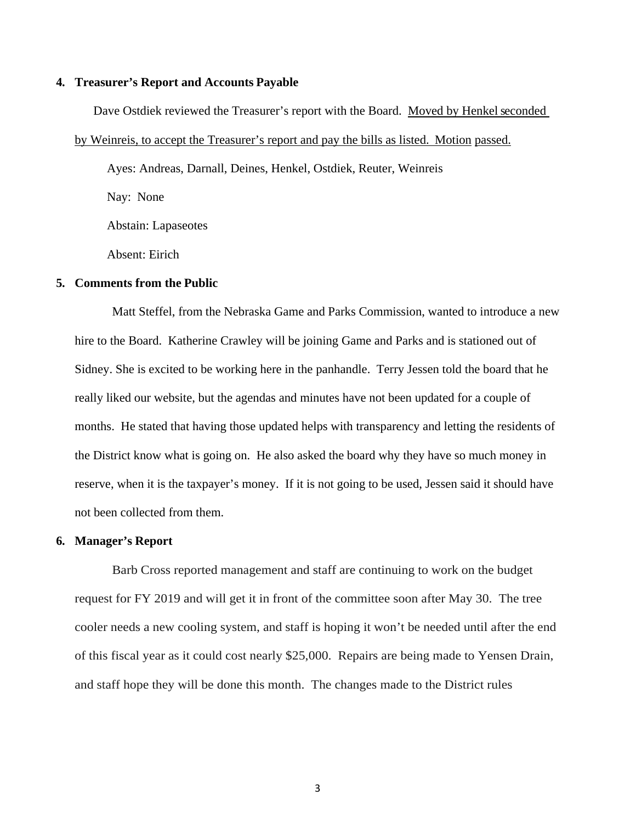# **4. Treasurer's Report and Accounts Payable**

Dave Ostdiek reviewed the Treasurer's report with the Board. Moved by Henkel seconded

## by Weinreis, to accept the Treasurer's report and pay the bills as listed. Motion passed.

Ayes: Andreas, Darnall, Deines, Henkel, Ostdiek, Reuter, Weinreis

Nay: None

Abstain: Lapaseotes

Absent: Eirich

## **5. Comments from the Public**

Matt Steffel, from the Nebraska Game and Parks Commission, wanted to introduce a new hire to the Board. Katherine Crawley will be joining Game and Parks and is stationed out of Sidney. She is excited to be working here in the panhandle. Terry Jessen told the board that he really liked our website, but the agendas and minutes have not been updated for a couple of months. He stated that having those updated helps with transparency and letting the residents of the District know what is going on. He also asked the board why they have so much money in reserve, when it is the taxpayer's money. If it is not going to be used, Jessen said it should have not been collected from them.

#### **6. Manager's Report**

Barb Cross reported management and staff are continuing to work on the budget request for FY 2019 and will get it in front of the committee soon after May 30. The tree cooler needs a new cooling system, and staff is hoping it won't be needed until after the end of this fiscal year as it could cost nearly \$25,000. Repairs are being made to Yensen Drain, and staff hope they will be done this month. The changes made to the District rules

3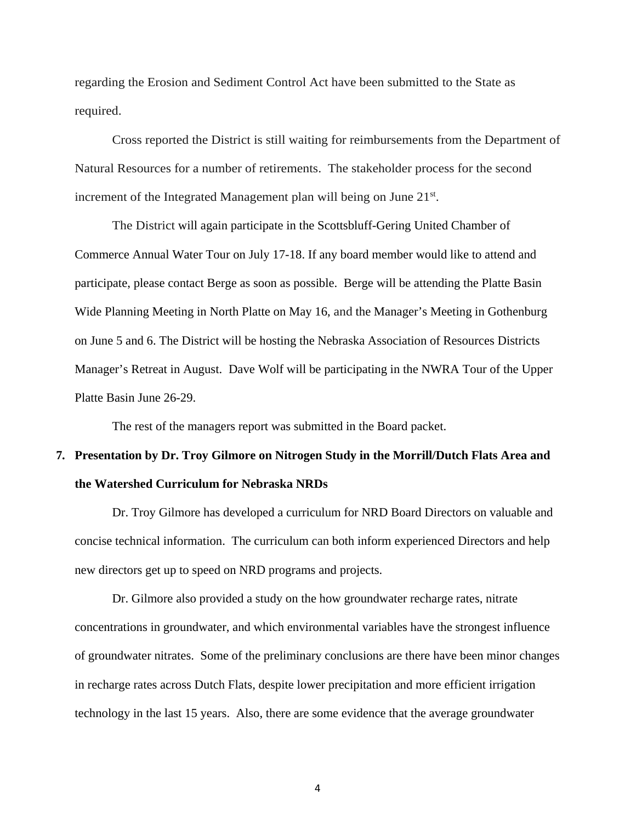regarding the Erosion and Sediment Control Act have been submitted to the State as required.

Cross reported the District is still waiting for reimbursements from the Department of Natural Resources for a number of retirements. The stakeholder process for the second increment of the Integrated Management plan will being on June 21<sup>st</sup>.

The District will again participate in the Scottsbluff-Gering United Chamber of Commerce Annual Water Tour on July 17-18. If any board member would like to attend and participate, please contact Berge as soon as possible. Berge will be attending the Platte Basin Wide Planning Meeting in North Platte on May 16, and the Manager's Meeting in Gothenburg on June 5 and 6. The District will be hosting the Nebraska Association of Resources Districts Manager's Retreat in August. Dave Wolf will be participating in the NWRA Tour of the Upper Platte Basin June 26-29.

The rest of the managers report was submitted in the Board packet.

# **7. Presentation by Dr. Troy Gilmore on Nitrogen Study in the Morrill/Dutch Flats Area and the Watershed Curriculum for Nebraska NRDs**

Dr. Troy Gilmore has developed a curriculum for NRD Board Directors on valuable and concise technical information. The curriculum can both inform experienced Directors and help new directors get up to speed on NRD programs and projects.

Dr. Gilmore also provided a study on the how groundwater recharge rates, nitrate concentrations in groundwater, and which environmental variables have the strongest influence of groundwater nitrates. Some of the preliminary conclusions are there have been minor changes in recharge rates across Dutch Flats, despite lower precipitation and more efficient irrigation technology in the last 15 years. Also, there are some evidence that the average groundwater

4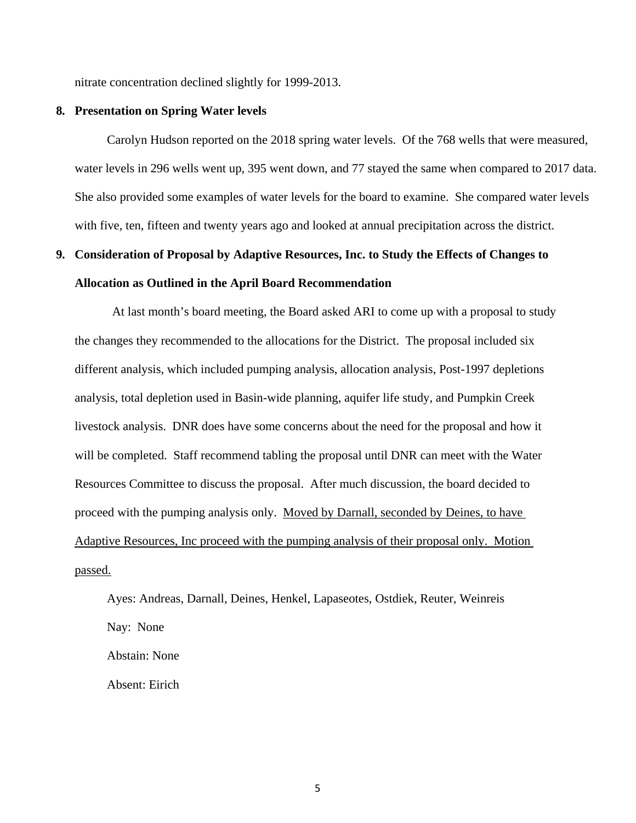nitrate concentration declined slightly for 1999-2013.

## **8. Presentation on Spring Water levels**

Carolyn Hudson reported on the 2018 spring water levels. Of the 768 wells that were measured, water levels in 296 wells went up, 395 went down, and 77 stayed the same when compared to 2017 data. She also provided some examples of water levels for the board to examine. She compared water levels with five, ten, fifteen and twenty years ago and looked at annual precipitation across the district.

# **9. Consideration of Proposal by Adaptive Resources, Inc. to Study the Effects of Changes to Allocation as Outlined in the April Board Recommendation**

At last month's board meeting, the Board asked ARI to come up with a proposal to study the changes they recommended to the allocations for the District. The proposal included six different analysis, which included pumping analysis, allocation analysis, Post-1997 depletions analysis, total depletion used in Basin-wide planning, aquifer life study, and Pumpkin Creek livestock analysis. DNR does have some concerns about the need for the proposal and how it will be completed. Staff recommend tabling the proposal until DNR can meet with the Water Resources Committee to discuss the proposal. After much discussion, the board decided to proceed with the pumping analysis only. Moved by Darnall, seconded by Deines, to have Adaptive Resources, Inc proceed with the pumping analysis of their proposal only. Motion passed.

Ayes: Andreas, Darnall, Deines, Henkel, Lapaseotes, Ostdiek, Reuter, Weinreis Nay: None Abstain: None

Absent: Eirich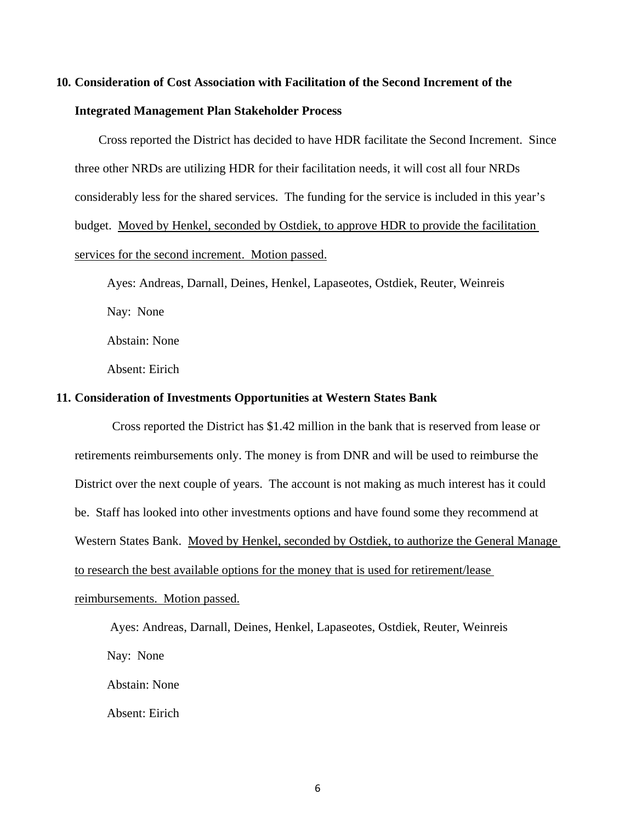# **10. Consideration of Cost Association with Facilitation of the Second Increment of the**

### **Integrated Management Plan Stakeholder Process**

 Cross reported the District has decided to have HDR facilitate the Second Increment. Since three other NRDs are utilizing HDR for their facilitation needs, it will cost all four NRDs considerably less for the shared services. The funding for the service is included in this year's budget. Moved by Henkel, seconded by Ostdiek, to approve HDR to provide the facilitation services for the second increment. Motion passed.

Ayes: Andreas, Darnall, Deines, Henkel, Lapaseotes, Ostdiek, Reuter, Weinreis Nay: None Abstain: None

Absent: Eirich

# **11. Consideration of Investments Opportunities at Western States Bank**

Cross reported the District has \$1.42 million in the bank that is reserved from lease or retirements reimbursements only. The money is from DNR and will be used to reimburse the District over the next couple of years. The account is not making as much interest has it could be. Staff has looked into other investments options and have found some they recommend at Western States Bank. Moved by Henkel, seconded by Ostdiek, to authorize the General Manage to research the best available options for the money that is used for retirement/lease reimbursements. Motion passed.

 Ayes: Andreas, Darnall, Deines, Henkel, Lapaseotes, Ostdiek, Reuter, Weinreis Nay: None Abstain: None Absent: Eirich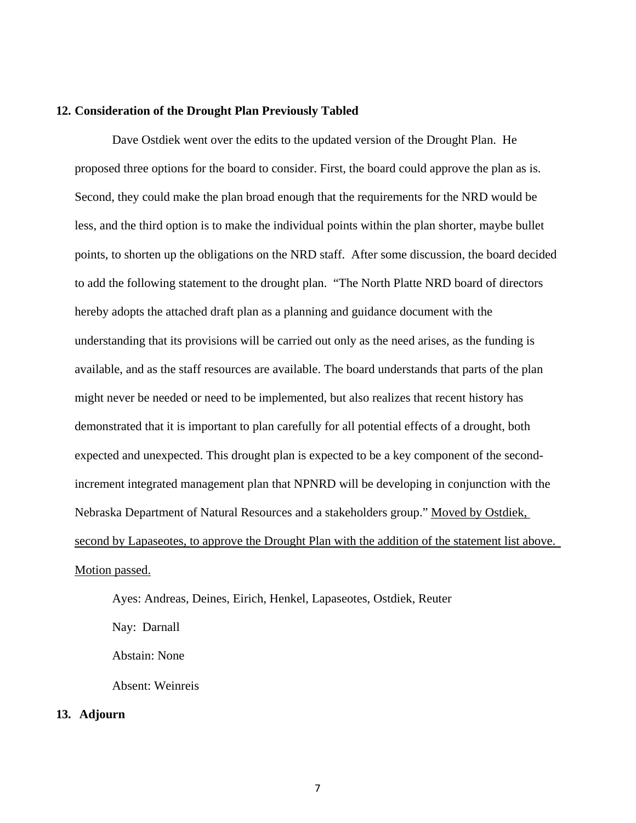# **12. Consideration of the Drought Plan Previously Tabled**

Dave Ostdiek went over the edits to the updated version of the Drought Plan. He proposed three options for the board to consider. First, the board could approve the plan as is. Second, they could make the plan broad enough that the requirements for the NRD would be less, and the third option is to make the individual points within the plan shorter, maybe bullet points, to shorten up the obligations on the NRD staff. After some discussion, the board decided to add the following statement to the drought plan. "The North Platte NRD board of directors hereby adopts the attached draft plan as a planning and guidance document with the understanding that its provisions will be carried out only as the need arises, as the funding is available, and as the staff resources are available. The board understands that parts of the plan might never be needed or need to be implemented, but also realizes that recent history has demonstrated that it is important to plan carefully for all potential effects of a drought, both expected and unexpected. This drought plan is expected to be a key component of the secondincrement integrated management plan that NPNRD will be developing in conjunction with the Nebraska Department of Natural Resources and a stakeholders group." Moved by Ostdiek, second by Lapaseotes, to approve the Drought Plan with the addition of the statement list above. Motion passed.

Ayes: Andreas, Deines, Eirich, Henkel, Lapaseotes, Ostdiek, Reuter Nay: Darnall Abstain: None Absent: Weinreis **13. Adjourn**